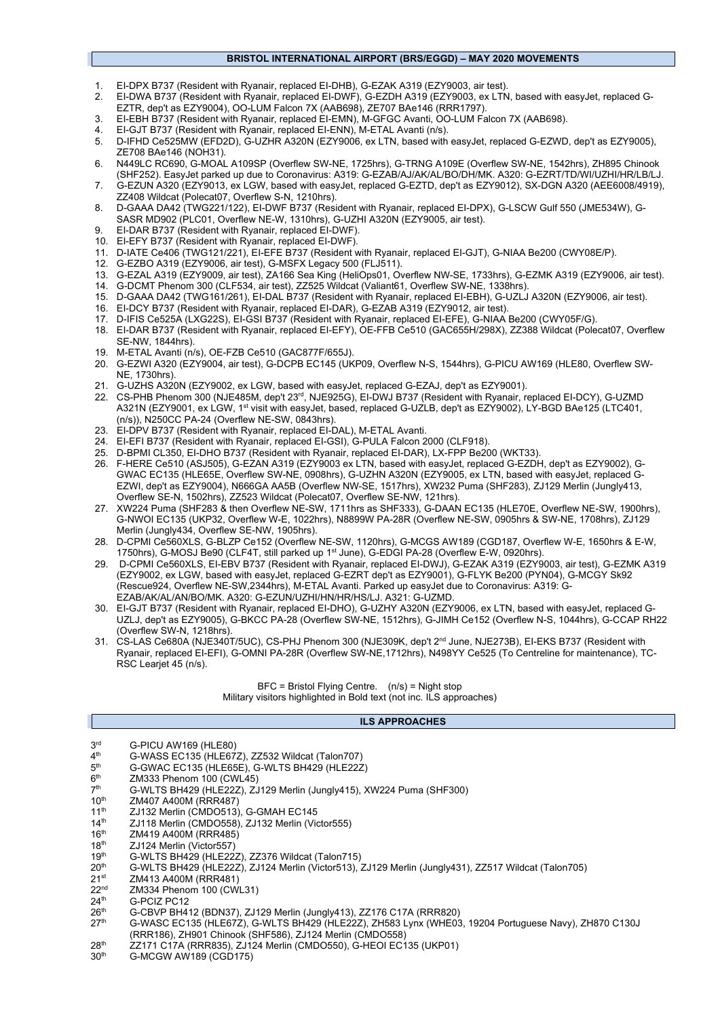#### **BRISTOL INTERNATIONAL AIRPORT (BRS/EGGD) – MAY 2020 MOVEMENTS**

- 1. EI-DPX B737 (Resident with Ryanair, replaced EI-DHB), G-EZAK A319 (EZY9003, air test).
- 2. EI-DWA B737 (Resident with Ryanair, replaced EI-DWF), G-EZDH A319 (EZY9003, ex LTN, based with easyJet, replaced G-EZTR, dep't as EZY9004), OO-LUM Falcon 7X (AAB698), ZE707 BAe146 (RRR1797).
- 3. EI-EBH B737 (Resident with Ryanair, replaced EI-EMN), M-GFGC Avanti, OO-LUM Falcon 7X (AAB698).<br>4. ELG IT B737 (Resident with Ryanair, replaced ELENN), M-ETAL Avanti (n/s).
- EI-GJT B737 (Resident with Ryanair, replaced EI-ENN), M-ETAL Avanti (n/s).
- 5. D-IFHD Ce525MW (EFD2D), G-UZHR A320N (EZY9006, ex LTN, based with easyJet, replaced G-EZWD, dep't as EZY9005), ZE708 BAe146 (NOH31).
- 6. N449LC RC690, G-MOAL A109SP (Overflew SW-NE, 1725hrs), G-TRNG A109E (Overflew SW-NE, 1542hrs), ZH895 Chinook (SHF252). EasyJet parked up due to Coronavirus: A319: G-EZAB/AJ/AK/AL/BO/DH/MK. A320: G-EZRT/TD/WI/UZHI/HR/LB/LJ.
- 7. G-EZUN A320 (EZY9013, ex LGW, based with easyJet, replaced G-EZTD, dep't as EZY9012), SX-DGN A320 (AEE6008/4919), ZZ408 Wildcat (Polecat07, Overflew S-N, 1210hrs).
- 8. D-GAAA DA42 (TWG221/122), EI-DWF B737 (Resident with Ryanair, replaced EI-DPX), G-LSCW Gulf 550 (JME534W), G-SASR MD902 (PLC01, Overflew NE-W, 1310hrs), G-UZHI A320N (EZY9005, air test).
- 9. EI-DAR B737 (Resident with Ryanair, replaced EI-DWF).
- 10. EI-EFY B737 (Resident with Ryanair, replaced EI-DWF).
- 11. D-IATE Ce406 (TWG121/221), EI-EFE B737 (Resident with Ryanair, replaced EI-GJT), G-NIAA Be200 (CWY08E/P).
- 12. G-EZBO A319 (EZY9006, air test), G-MSFX Legacy 500 (FLJ511).
- 13. G-EZAL A319 (EZY9009, air test), ZA166 Sea King (HeliOps01, Overflew NW-SE, 1733hrs), G-EZMK A319 (EZY9006, air test).
- 14. G-DCMT Phenom 300 (CLF534, air test), ZZ525 Wildcat (Valiant61, Overflew SW-NE, 1338hrs).
- 15. D-GAAA DA42 (TWG161/261), EI-DAL B737 (Resident with Ryanair, replaced EI-EBH), G-UZLJ A320N (EZY9006, air test).
- 16. EI-DCY B737 (Resident with Ryanair, replaced EI-DAR), G-EZAB A319 (EZY9012, air test). 17. D-IFIS Ce525A (LXG22S), EI-GSI B737 (Resident with Ryanair, replaced EI-EFE), G-NIAA Be200 (CWY05F/G).
- 18. EI-DAR B737 (Resident with Ryanair, replaced EI-EFY), OE-FFB Ce510 (GAC655H/298X), ZZ388 Wildcat (Polecat07, Overflew SE-NW, 1844hrs).
- 19. M-ETAL Avanti (n/s), OE-FZB Ce510 (GAC877F/655J).
- 20. G-EZWI A320 (EZY9004, air test), G-DCPB EC145 (UKP09, Overflew N-S, 1544hrs), G-PICU AW169 (HLE80, Overflew SW-NE, 1730hrs).
- 21. G-UZHS A320N (EZY9002, ex LGW, based with easyJet, replaced G-EZAJ, dep't as EZY9001).
- 22. CS-PHB Phenom 300 (NJE485M, dep't 23rd, NJE925G), EI-DWJ B737 (Resident with Ryanair, replaced EI-DCY), G-UZMD A321N (EZY9001, ex LGW, 1st visit with easyJet, based, replaced G-UZLB, dep't as EZY9002), LY-BGD BAe125 (LTC401, (n/s)), N250CC PA-24 (Overflew NE-SW, 0843hrs).
- 23. EI-DPV B737 (Resident with Ryanair, replaced EI-DAL), M-ETAL Avanti.
- 24. EI-EFI B737 (Resident with Ryanair, replaced EI-GSI), G-PULA Falcon 2000 (CLF918).
- 25. D-BPMI CL350, EI-DHO B737 (Resident with Ryanair, replaced EI-DAR), LX-FPP Be200 (WKT33).
- 26. F-HERE Ce510 (ASJ505), G-EZAN A319 (EZY9003 ex LTN, based with easyJet, replaced G-EZDH, dep't as EZY9002), G-GWAC EC135 (HLE65E, Overflew SW-NE, 0908hrs), G-UZHN A320N (EZY9005, ex LTN, based with easyJet, replaced G-EZWI, dep't as EZY9004), N666GA AA5B (Overflew NW-SE, 1517hrs), XW232 Puma (SHF283), ZJ129 Merlin (Jungly413, Overflew SE-N, 1502hrs), ZZ523 Wildcat (Polecat07, Overflew SE-NW, 121hrs).
- 27. XW224 Puma (SHF283 & then Overflew NE-SW, 1711hrs as SHF333), G-DAAN EC135 (HLE70E, Overflew NE-SW, 1900hrs), G-NWOI EC135 (UKP32, Overflew W-E, 1022hrs), N8899W PA-28R (Overflew NE-SW, 0905hrs & SW-NE, 1708hrs), ZJ129 Merlin (Jungly434, Overflew SE-NW, 1905hrs).
- 28. D-CPMI Ce560XLS, G-BLZP Ce152 (Overflew NE-SW, 1120hrs), G-MCGS AW189 (CGD187, Overflew W-E, 1650hrs & E-W, 1750hrs), G-MOSJ Be90 (CLF4T, still parked up 1<sup>st</sup> June), G-EDGI PA-28 (Overflew E-W, 0920hrs).
- 29. D-CPMI Ce560XLS, EI-EBV B737 (Resident with Ryanair, replaced EI-DWJ), G-EZAK A319 (EZY9003, air test), G-EZMK A319 (EZY9002, ex LGW, based with easyJet, replaced G-EZRT dep't as EZY9001), G-FLYK Be200 (PYN04), G-MCGY Sk92 (Rescue924, Overflew NE-SW,2344hrs), M-ETAL Avanti. Parked up easyJet due to Coronavirus: A319: G-EZAB/AK/AL/AN/BO/MK. A320: G-EZUN/UZHI/HN/HR/HS/LJ. A321: G-UZMD.
- 30. EI-GJT B737 (Resident with Ryanair, replaced EI-DHO), G-UZHY A320N (EZY9006, ex LTN, based with easyJet, replaced G-UZLJ, dep't as EZY9005), G-BKCC PA-28 (Overflew SW-NE, 1512hrs), G-JIMH Ce152 (Overflew N-S, 1044hrs), G-CCAP RH22 (Overflew SW-N, 1218hrs).
- 31. CS-LAS Ce680A (NJE340T/5UC), CS-PHJ Phenom 300 (NJE309K, dep't 2nd June, NJE273B), EI-EKS B737 (Resident with Ryanair, replaced EI-EFI), G-OMNI PA-28R (Overflew SW-NE,1712hrs), N498YY Ce525 (To Centreline for maintenance), TC-RSC Learjet 45 (n/s).

BFC = Bristol Flying Centre. (n/s) = Night stop Military visitors highlighted in Bold text (not inc. ILS approaches)

#### **ILS APPROACHES**

| 3 <sup>rd</sup>  | G-PICU AW169 (HLE80)                                                 |
|------------------|----------------------------------------------------------------------|
| 4 <sup>th</sup>  | G-WASS EC135 (HLE67Z), ZZ532 Wildcat (Talon707)                      |
| 5 <sup>th</sup>  | G-GWAC EC135 (HLE65E), G-WLTS BH429 (HLE22Z)                         |
| 6 <sup>th</sup>  | ZM333 Phenom 100 (CWL45)                                             |
| 7 <sup>th</sup>  | G-WLTS BH429 (HLE22Z), ZJ129 Merlin (Jungly415), XW224 Puma (SHF300) |
| 10 <sup>th</sup> | ZM407 A400M (RRR487)                                                 |
|                  |                                                                      |

- 
- 11<sup>th</sup> ZJ132 Merlin (CMDO513), G-GMAH EC145<br>14<sup>th</sup> ZJ118 Merlin (CMDO558). 7.1132 Merlin (Vic  $14<sup>th</sup>$  ZJ118 Merlin (CMDO558), ZJ132 Merlin (Victor555)<br>16<sup>th</sup> ZM419 A400M (RRR485)
- $16^{th}$  ZM419 A400M (RRR485)<br> $18^{th}$  ZJ124 Merlin (Victor557)
- $18<sup>th</sup>$  ZJ124 Merlin (Victor557)<br> $19<sup>th</sup>$  G-WI TS BH429 (HI F22)
- 
- 19<sup>th</sup> G-WLTS BH429 (HLE22Z), ZZ376 Wildcat (Talon715)<br>20<sup>th</sup> G-WLTS BH429 (HLE22Z), ZJ124 Merlin (Victor513). 20<sup>th</sup> G-WLTS BH429 (HLE22Z), ZJ124 Merlin (Victor513), ZJ129 Merlin (Jungly431), ZZ517 Wildcat (Talon705)<br>21<sup>st</sup> ZM413 A400M (RRR481)
- 
- $21^{st}$  ZM413 A400M (RRR481)<br> $22^{nd}$  ZM334 Phenom 100 (CW)  $22<sup>nd</sup>$  ZM334 Phenom 100 (CWL31)<br> $24<sup>th</sup>$  G-PCIZ PC12
- 
- $24<sup>th</sup>$  G-PCIZ PC12<br> $26<sup>th</sup>$  G-CBVP BH4 26<sup>th</sup> G-CBVP BH412 (BDN37), ZJ129 Merlin (Jungly413), ZZ176 C17A (RRR820)<br>27<sup>th</sup> G-WASC EC135 (HLE67Z), G-WLTS BH429 (HLE22Z), ZH583 Lynx (WHE03
- 27th G-WASC EC135 (HLE67Z), G-WLTS BH429 (HLE22Z), ZH583 Lynx (WHE03, 19204 Portuguese Navy), ZH870 C130J (RRR186), ZH901 Chinook (SHF586), ZJ124 Merlin (CMDO558)
- $28<sup>th</sup>$   $27171$  C17A (RRR835), ZJ124 Merlin (CMDO550), G-HEOI EC135 (UKP01)<br>30<sup>th</sup> G-MCGW AW189 (CGD175)
- G-MCGW AW189 (CGD175)